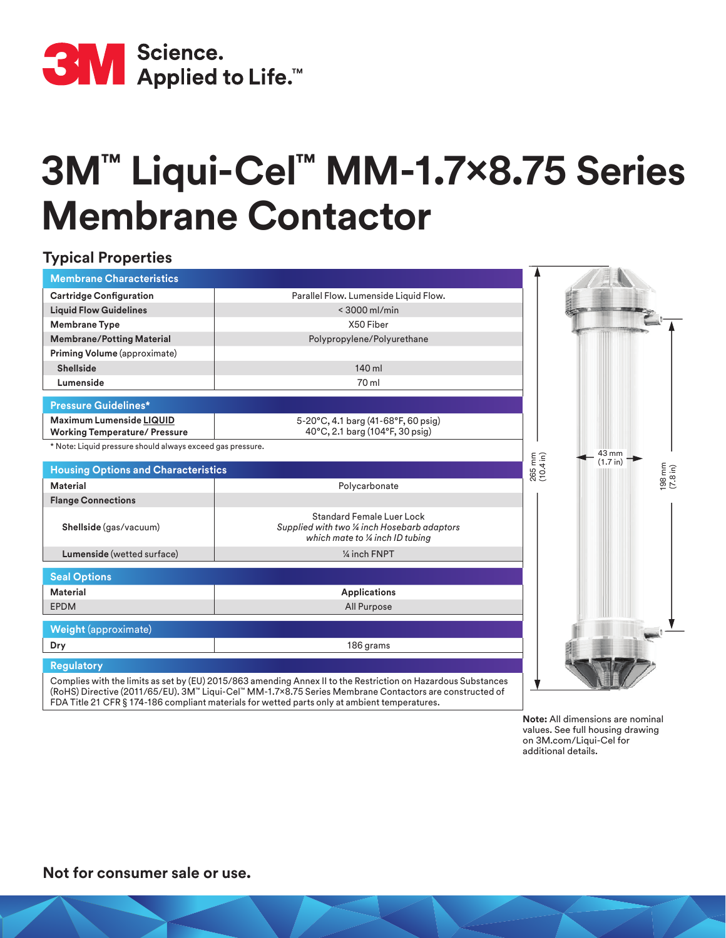

## **3M™ Liqui-Cel™ MM-1.7x8.75 Series Membrane Contactor**

## **Typical Properties**

| <b>Membrane Characteristics</b>                                         |                                                                                                                                                                                                                          |                     |          |          |
|-------------------------------------------------------------------------|--------------------------------------------------------------------------------------------------------------------------------------------------------------------------------------------------------------------------|---------------------|----------|----------|
| <b>Cartridge Configuration</b>                                          | Parallel Flow. Lumenside Liquid Flow.                                                                                                                                                                                    |                     |          |          |
| <b>Liquid Flow Guidelines</b>                                           | $<$ 3000 ml/min                                                                                                                                                                                                          |                     |          |          |
| <b>Membrane Type</b>                                                    | X50 Fiber                                                                                                                                                                                                                |                     |          |          |
| <b>Membrane/Potting Material</b>                                        | Polypropylene/Polyurethane                                                                                                                                                                                               |                     |          |          |
| Priming Volume (approximate)                                            |                                                                                                                                                                                                                          |                     |          |          |
| <b>Shellside</b>                                                        | 140 ml                                                                                                                                                                                                                   |                     |          |          |
| Lumenside                                                               | 70 ml                                                                                                                                                                                                                    |                     |          |          |
| <b>Pressure Guidelines*</b>                                             |                                                                                                                                                                                                                          |                     |          |          |
| <b>Maximum Lumenside LIQUID</b><br><b>Working Temperature/ Pressure</b> | 5-20°C, 4.1 barg (41-68°F, 60 psig)<br>40°C, 2.1 barg (104°F, 30 psig)                                                                                                                                                   |                     |          |          |
| * Note: Liquid pressure should always exceed gas pressure.              |                                                                                                                                                                                                                          |                     | 43 mm    |          |
| <b>Housing Options and Characteristics</b>                              |                                                                                                                                                                                                                          | 265 mm<br>(10.4 in) | (1.7 in) | (7.8 in) |
| <b>Material</b>                                                         | Polycarbonate                                                                                                                                                                                                            |                     |          |          |
| <b>Flange Connections</b>                                               |                                                                                                                                                                                                                          |                     |          |          |
| Shellside (gas/vacuum)                                                  | <b>Standard Female Luer Lock</b><br>Supplied with two 1/4 inch Hosebarb adaptors<br>which mate to 1/4 inch ID tubing                                                                                                     |                     |          |          |
| Lumenside (wetted surface)                                              | 1/4 inch FNPT                                                                                                                                                                                                            |                     |          |          |
| <b>Seal Options</b>                                                     |                                                                                                                                                                                                                          |                     |          |          |
| <b>Material</b>                                                         | <b>Applications</b>                                                                                                                                                                                                      |                     |          |          |
| <b>EPDM</b>                                                             | All Purpose                                                                                                                                                                                                              |                     |          |          |
| <b>Weight (approximate)</b>                                             |                                                                                                                                                                                                                          |                     |          |          |
| Dry                                                                     | 186 grams                                                                                                                                                                                                                |                     |          |          |
| <b>Regulatory</b>                                                       | Complies with the limits as set by (EU) 2015/863 amending Annex II to the Restriction on Hazardous Substances<br>(RoHS) Directive (2011/65/EU). 3M™ Liqui-Cel™ MM-1.7×8.75 Series Membrane Contactors are constructed of |                     |          |          |

FDA Title 21 CFR § 174-186 compliant materials for wetted parts only at ambient temperatures. **Note:** All dimensions are nominal

values. See full housing drawing on 3M.com/Liqui-Cel for additional details.

**Not for consumer sale or use.**